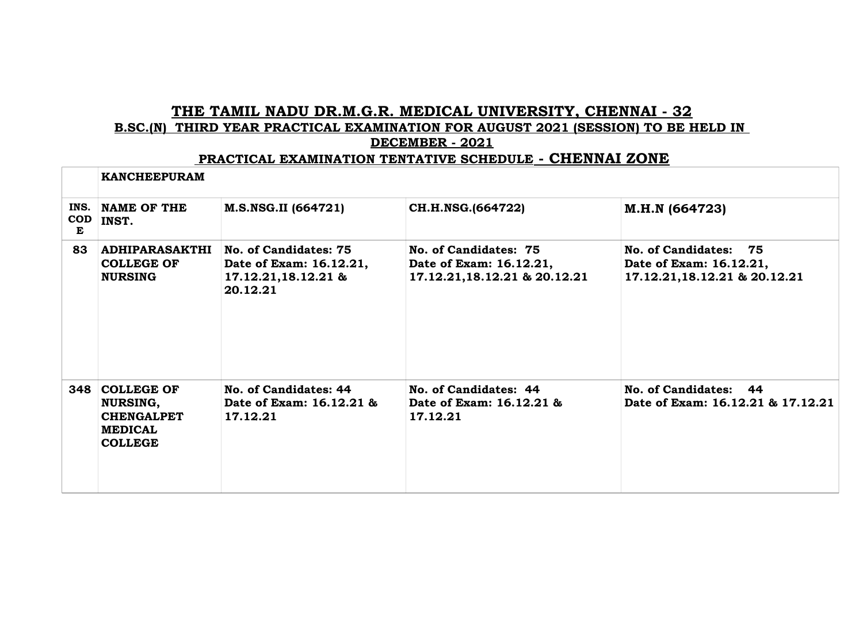## **THE TAMIL NADU DR.M.G.R. MEDICAL UNIVERSITY, CHENNAI - 32 B.SC.(N) THIRD YEAR PRACTICAL EXAMINATION FOR AUGUST 2021 (SESSION) TO BE HELD IN DECEMBER - 2021**

## **PRACTICAL EXAMINATION TENTATIVE SCHEDULE - CHENNAI ZONE**

|                         | <b>KANCHEEPURAM</b>                                                                        |                                                                                     |                                                                                   |                                                                                   |
|-------------------------|--------------------------------------------------------------------------------------------|-------------------------------------------------------------------------------------|-----------------------------------------------------------------------------------|-----------------------------------------------------------------------------------|
| INS.<br><b>COD</b><br>Е | NAME OF THE<br>INST.                                                                       | M.S.NSG.II (664721)                                                                 | CH.H.NSG.(664722)                                                                 | M.H.N (664723)                                                                    |
| 83                      | <b>ADHIPARASAKTHI</b><br><b>COLLEGE OF</b><br><b>NURSING</b>                               | No. of Candidates: 75<br>Date of Exam: 16.12.21,<br>17.12.21,18.12.21 &<br>20.12.21 | No. of Candidates: 75<br>Date of Exam: 16.12.21,<br>17.12.21, 18.12.21 & 20.12.21 | No. of Candidates: 75<br>Date of Exam: 16.12.21,<br>17.12.21, 18.12.21 & 20.12.21 |
|                         | 348 COLLEGE OF<br><b>NURSING,</b><br><b>CHENGALPET</b><br><b>MEDICAL</b><br><b>COLLEGE</b> | No. of Candidates: 44<br>Date of Exam: 16.12.21 &<br>17.12.21                       | No. of Candidates: 44<br>Date of Exam: 16.12.21 &<br>17.12.21                     | No. of Candidates: 44<br>Date of Exam: 16.12.21 & 17.12.21                        |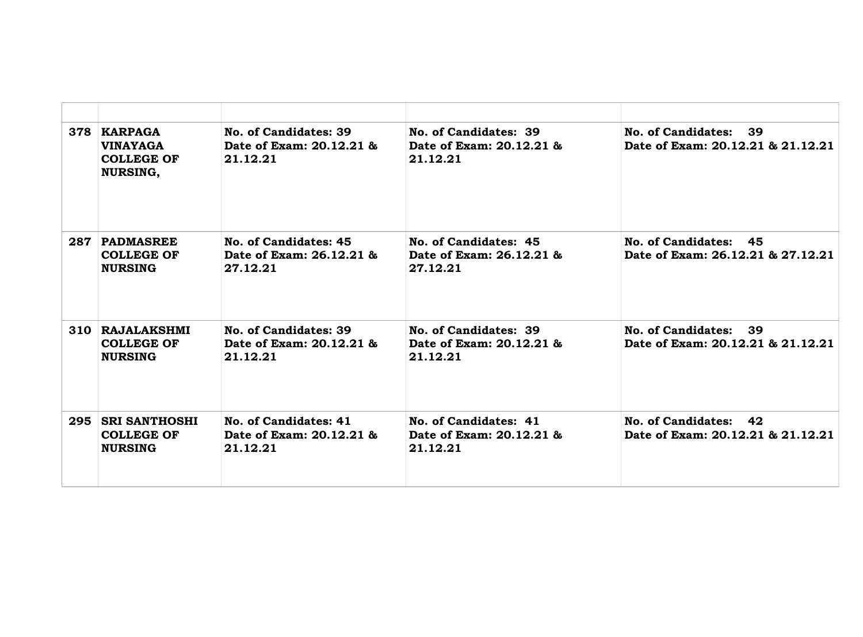| 378 | KARPAGA<br><b>VINAYAGA</b><br><b>COLLEGE OF</b><br><b>NURSING,</b> | No. of Candidates: 39<br>Date of Exam: 20.12.21 &<br>21.12.21 | No. of Candidates: 39<br>Date of Exam: 20.12.21 &<br>21.12.21 | <b>No. of Candidates:</b><br>39<br>Date of Exam: 20.12.21 & 21.12.21 |
|-----|--------------------------------------------------------------------|---------------------------------------------------------------|---------------------------------------------------------------|----------------------------------------------------------------------|
| 287 | <b>PADMASREE</b><br><b>COLLEGE OF</b><br><b>NURSING</b>            | No. of Candidates: 45<br>Date of Exam: 26.12.21 &<br>27.12.21 | No. of Candidates: 45<br>Date of Exam: 26.12.21 &<br>27.12.21 | No. of Candidates: 45<br>Date of Exam: 26.12.21 & 27.12.21           |
|     | 310 RAJALAKSHMI<br><b>COLLEGE OF</b><br><b>NURSING</b>             | No. of Candidates: 39<br>Date of Exam: 20.12.21 &<br>21.12.21 | No. of Candidates: 39<br>Date of Exam: 20.12.21 &<br>21.12.21 | No. of Candidates:<br>39<br>Date of Exam: 20.12.21 & 21.12.21        |
| 295 | <b>SRI SANTHOSHI</b><br><b>COLLEGE OF</b><br><b>NURSING</b>        | No. of Candidates: 41<br>Date of Exam: 20.12.21 &<br>21.12.21 | No. of Candidates: 41<br>Date of Exam: 20.12.21 &<br>21.12.21 | No. of Candidates: 42<br>Date of Exam: 20.12.21 & 21.12.21           |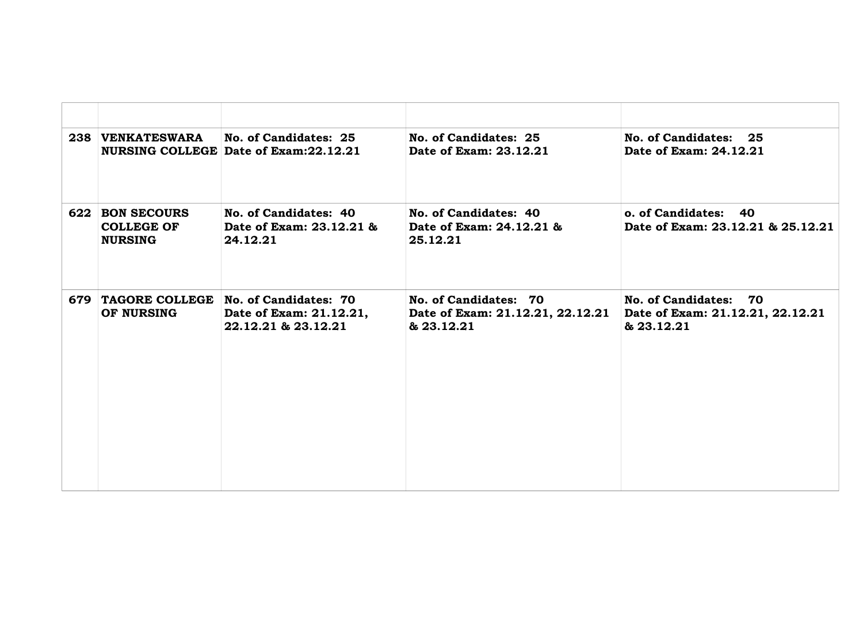| 238 VENKATESWARA                                       | No. of Candidates: 25<br><b>NURSING COLLEGE Date of Exam:22.12.21</b>   | No. of Candidates: 25<br>Date of Exam: 23.12.21                         | No. of Candidates: 25<br>Date of Exam: 24.12.21                         |
|--------------------------------------------------------|-------------------------------------------------------------------------|-------------------------------------------------------------------------|-------------------------------------------------------------------------|
| 622 BON SECOURS<br><b>COLLEGE OF</b><br><b>NURSING</b> | No. of Candidates: 40<br>Date of Exam: 23.12.21 &<br>24.12.21           | No. of Candidates: 40<br>Date of Exam: 24.12.21 &<br>25.12.21           | o. of Candidates: 40<br>Date of Exam: 23.12.21 & 25.12.21               |
| 679 TAGORE COLLEGE<br>OF NURSING                       | No. of Candidates: 70<br>Date of Exam: 21.12.21,<br>22.12.21 & 23.12.21 | No. of Candidates: 70<br>Date of Exam: 21.12.21, 22.12.21<br>& 23.12.21 | No. of Candidates: 70<br>Date of Exam: 21.12.21, 22.12.21<br>& 23.12.21 |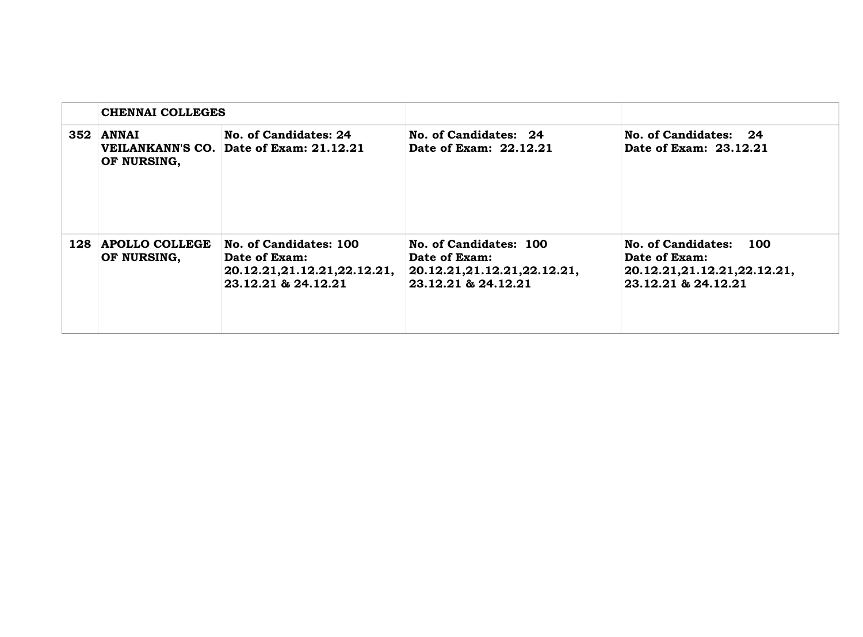| <b>CHENNAI COLLEGES</b>           |                                                                                               |                                                                                               |                                                                                                         |
|-----------------------------------|-----------------------------------------------------------------------------------------------|-----------------------------------------------------------------------------------------------|---------------------------------------------------------------------------------------------------------|
| $352$ ANNAI<br>OF NURSING,        | No. of Candidates: 24<br>VEILANKANN'S CO. Date of Exam: 21.12.21                              | No. of Candidates: 24<br>Date of Exam: 22.12.21                                               | No. of Candidates: 24<br>Date of Exam: 23.12.21                                                         |
| 128 APOLLO COLLEGE<br>OF NURSING, | No. of Candidates: 100<br>Date of Exam:<br>20.12.21,21.12.21,22.12.21,<br>23.12.21 & 24.12.21 | No. of Candidates: 100<br>Date of Exam:<br>20.12.21,21.12.21,22.12.21,<br>23.12.21 & 24.12.21 | No. of Candidates:<br><b>100</b><br>Date of Exam:<br>20.12.21,21.12.21,22.12.21,<br>23.12.21 & 24.12.21 |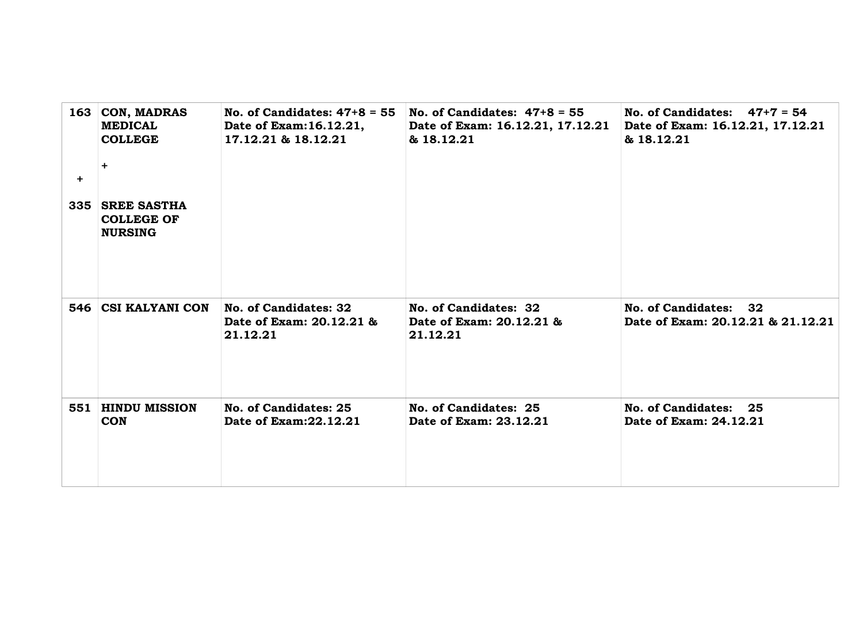|           | 163 CON, MADRAS<br><b>MEDICAL</b><br><b>COLLEGE</b><br>$\ddot{}$ | No. of Candidates: $47+8 = 55$<br>Date of Exam: 16.12.21,<br>17.12.21 & 18.12.21 | No. of Candidates: $47+8 = 55$<br>Date of Exam: 16.12.21, 17.12.21<br>& 18.12.21 | No. of Candidates: $47+7 = 54$<br>Date of Exam: 16.12.21, 17.12.21<br>& 18.12.21 |
|-----------|------------------------------------------------------------------|----------------------------------------------------------------------------------|----------------------------------------------------------------------------------|----------------------------------------------------------------------------------|
| $\ddot{}$ | 335   SREE SASTHA<br><b>COLLEGE OF</b><br><b>NURSING</b>         |                                                                                  |                                                                                  |                                                                                  |
|           | 546 CSI KALYANI CON                                              | No. of Candidates: 32<br>Date of Exam: 20.12.21 &<br>21.12.21                    | No. of Candidates: 32<br>Date of Exam: 20.12.21 &<br>21.12.21                    | No. of Candidates: 32<br>Date of Exam: 20.12.21 & 21.12.21                       |
|           | 551 HINDU MISSION<br><b>CON</b>                                  | No. of Candidates: 25<br>Date of Exam: 22.12.21                                  | No. of Candidates: 25<br>Date of Exam: 23.12.21                                  | No. of Candidates: 25<br>Date of Exam: 24.12.21                                  |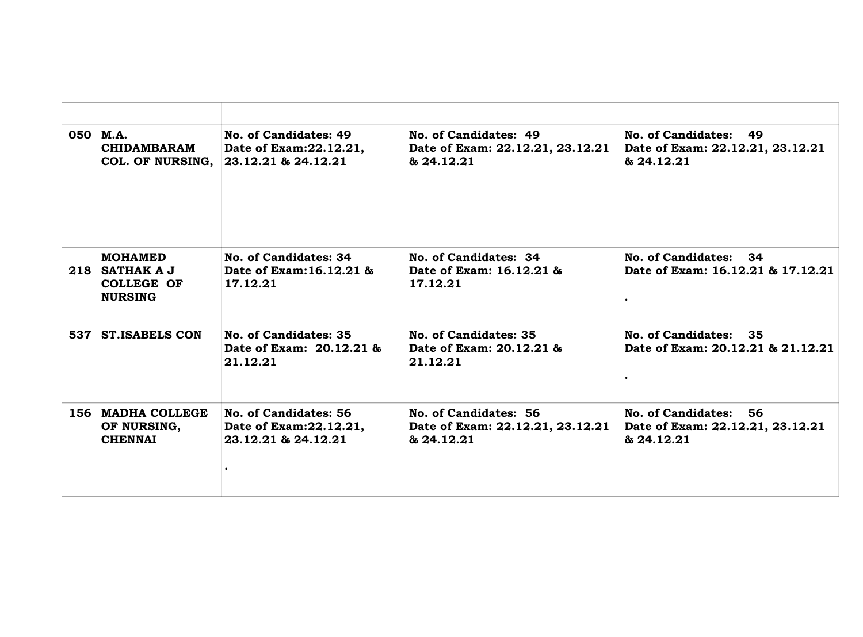|     | $050$ M.A.<br><b>CHIDAMBARAM</b><br>COL. OF NURSING,                      | No. of Candidates: 49<br>Date of Exam: 22.12.21,<br>23.12.21 & 24.12.21 | No. of Candidates: 49<br>Date of Exam: 22.12.21, 23.12.21<br>& 24.12.21 | No. of Candidates: 49<br>Date of Exam: 22.12.21, 23.12.21<br>& 24.12.21 |
|-----|---------------------------------------------------------------------------|-------------------------------------------------------------------------|-------------------------------------------------------------------------|-------------------------------------------------------------------------|
|     | <b>MOHAMED</b><br>$218$ SATHAK A J<br><b>COLLEGE OF</b><br><b>NURSING</b> | No. of Candidates: 34<br>Date of Exam: 16.12.21 &<br>17.12.21           | No. of Candidates: 34<br>Date of Exam: 16.12.21 &<br>17.12.21           | No. of Candidates: 34<br>Date of Exam: 16.12.21 & 17.12.21              |
|     | 537 ST. ISABELS CON                                                       | No. of Candidates: 35<br>Date of Exam: 20.12.21 &<br>21.12.21           | No. of Candidates: 35<br>Date of Exam: 20.12.21 &<br>21.12.21           | No. of Candidates: 35<br>Date of Exam: 20.12.21 & 21.12.21              |
| 156 | <b>MADHA COLLEGE</b><br>OF NURSING,<br><b>CHENNAI</b>                     | No. of Candidates: 56<br>Date of Exam: 22.12.21,<br>23.12.21 & 24.12.21 | No. of Candidates: 56<br>Date of Exam: 22.12.21, 23.12.21<br>& 24.12.21 | No. of Candidates: 56<br>Date of Exam: 22.12.21, 23.12.21<br>& 24.12.21 |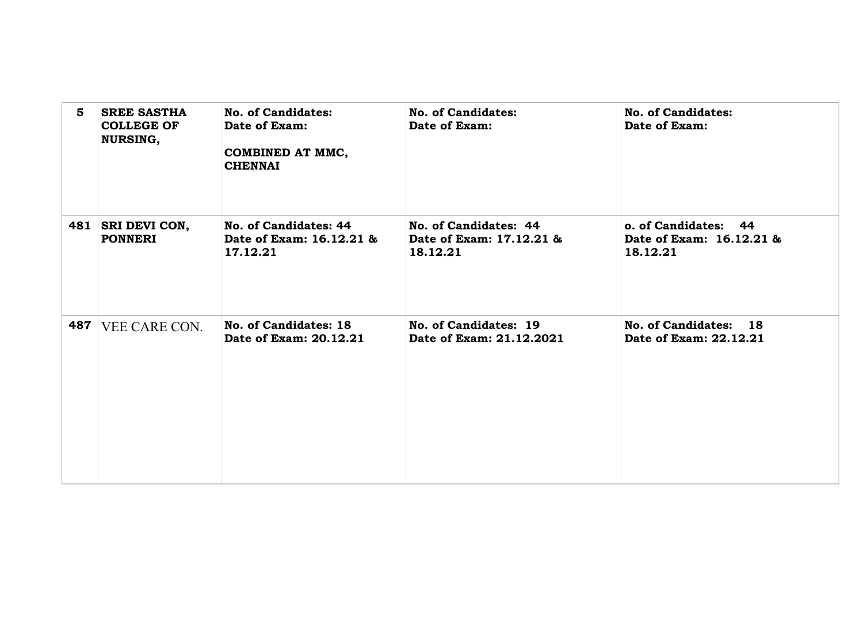| 5   | <b>SREE SASTHA</b><br><b>COLLEGE OF</b><br><b>NURSING,</b> | No. of Candidates:<br>Date of Exam:<br>COMBINED AT MMC,<br><b>CHENNAI</b> | No. of Candidates:<br>Date of Exam:                           | No. of Candidates:<br>Date of Exam:                          |
|-----|------------------------------------------------------------|---------------------------------------------------------------------------|---------------------------------------------------------------|--------------------------------------------------------------|
|     | 481   SRI DEVI CON,<br><b>PONNERI</b>                      | No. of Candidates: 44<br>Date of Exam: 16.12.21 &<br>17.12.21             | No. of Candidates: 44<br>Date of Exam: 17.12.21 &<br>18.12.21 | o. of Candidates: 44<br>Date of Exam: 16.12.21 &<br>18.12.21 |
| 487 | VEE CARE CON.                                              | No. of Candidates: 18<br>Date of Exam: 20.12.21                           | No. of Candidates: 19<br>Date of Exam: 21.12.2021             | No. of Candidates: 18<br>Date of Exam: 22.12.21              |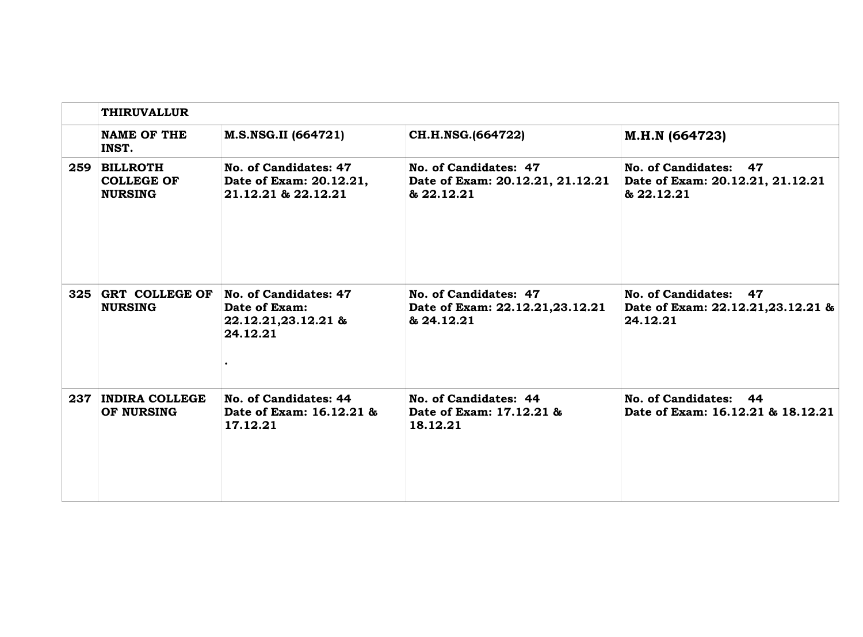|     | <b>THIRUVALLUR</b>                                  |                                                                           |                                                                         |                                                                         |  |
|-----|-----------------------------------------------------|---------------------------------------------------------------------------|-------------------------------------------------------------------------|-------------------------------------------------------------------------|--|
|     | <b>NAME OF THE</b><br>INST.                         | M.S.NSG.II (664721)                                                       | CH.H.NSG.(664722)                                                       | M.H.N (664723)                                                          |  |
|     | 259 BILLROTH<br><b>COLLEGE OF</b><br><b>NURSING</b> | No. of Candidates: 47<br>Date of Exam: 20.12.21,<br>21.12.21 & 22.12.21   | No. of Candidates: 47<br>Date of Exam: 20.12.21, 21.12.21<br>& 22.12.21 | No. of Candidates: 47<br>Date of Exam: 20.12.21, 21.12.21<br>& 22.12.21 |  |
| 325 | <b>GRT COLLEGE OF</b><br><b>NURSING</b>             | No. of Candidates: 47<br>Date of Exam:<br>22.12.21,23.12.21 &<br>24.12.21 | No. of Candidates: 47<br>Date of Exam: 22.12.21,23.12.21<br>& 24.12.21  | No. of Candidates: 47<br>Date of Exam: 22.12.21,23.12.21 &<br>24.12.21  |  |
| 237 | <b>INDIRA COLLEGE</b><br>OF NURSING                 | No. of Candidates: 44<br>Date of Exam: 16.12.21 &<br>17.12.21             | No. of Candidates: 44<br>Date of Exam: 17.12.21 &<br>18.12.21           | No. of Candidates: 44<br>Date of Exam: 16.12.21 & 18.12.21              |  |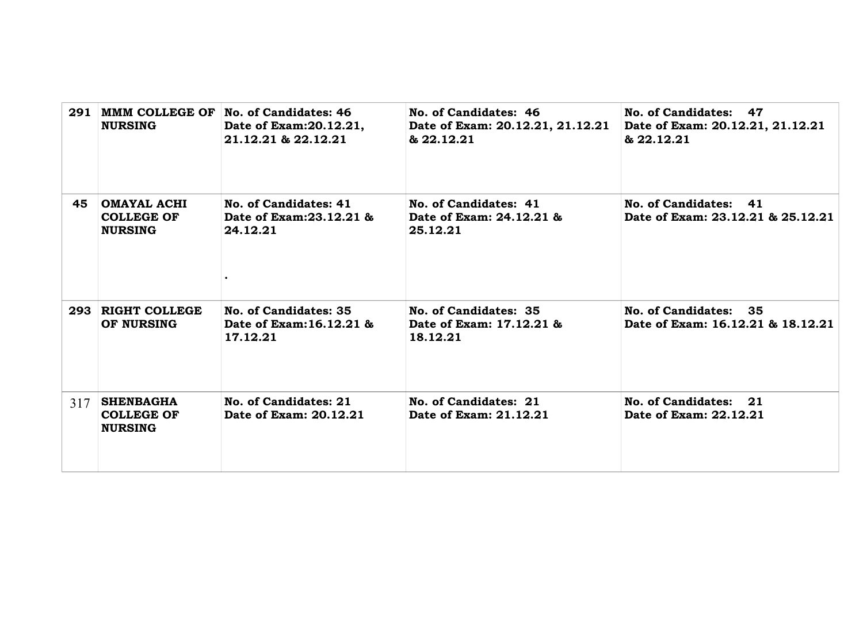| 291 | <b>NURSING</b>                                            | MMM COLLEGE OF No. of Candidates: 46<br>Date of Exam: 20.12.21,<br>21.12.21 & 22.12.21 | No. of Candidates: 46<br>Date of Exam: 20.12.21, 21.12.21<br>& 22.12.21 | No. of Candidates: 47<br>Date of Exam: 20.12.21, 21.12.21<br>& 22.12.21 |
|-----|-----------------------------------------------------------|----------------------------------------------------------------------------------------|-------------------------------------------------------------------------|-------------------------------------------------------------------------|
| 45  | <b>OMAYAL ACHI</b><br><b>COLLEGE OF</b><br><b>NURSING</b> | No. of Candidates: 41<br>Date of Exam: 23.12.21 &<br>24.12.21                          | No. of Candidates: 41<br>Date of Exam: 24.12.21 &<br>25.12.21           | No. of Candidates: 41<br>Date of Exam: 23.12.21 & 25.12.21              |
|     | 293 RIGHT COLLEGE<br>OF NURSING                           | No. of Candidates: 35<br>Date of Exam: 16.12.21 &<br>17.12.21                          | No. of Candidates: 35<br>Date of Exam: 17.12.21 &<br>18.12.21           | No. of Candidates: 35<br>Date of Exam: 16.12.21 & 18.12.21              |
| 317 | <b>SHENBAGHA</b><br><b>COLLEGE OF</b><br><b>NURSING</b>   | No. of Candidates: 21<br>Date of Exam: 20.12.21                                        | No. of Candidates: 21<br>Date of Exam: 21.12.21                         | No. of Candidates: 21<br>Date of Exam: 22.12.21                         |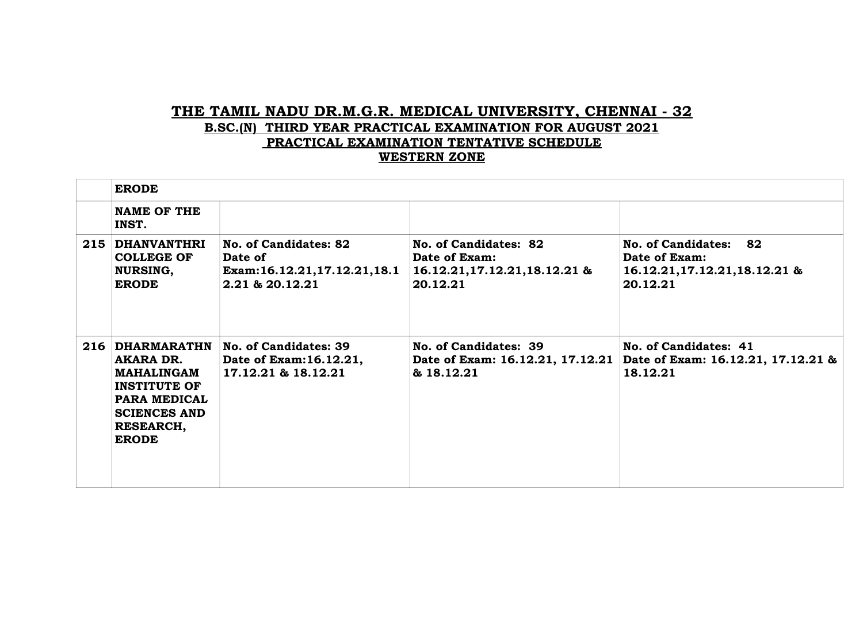## **THE TAMIL NADU DR.M.G.R. MEDICAL UNIVERSITY, CHENNAI - 32 B.SC.(N) THIRD YEAR PRACTICAL EXAMINATION FOR AUGUST 2021 PRACTICAL EXAMINATION TENTATIVE SCHEDULE WESTERN ZONE**

| <b>ERODE</b>                                                                                                       |                                                                                         |                                                                                      |                                                                                                          |  |
|--------------------------------------------------------------------------------------------------------------------|-----------------------------------------------------------------------------------------|--------------------------------------------------------------------------------------|----------------------------------------------------------------------------------------------------------|--|
| <b>NAME OF THE</b><br>INST.                                                                                        |                                                                                         |                                                                                      |                                                                                                          |  |
| 215 DHANVANTHRI<br><b>COLLEGE OF</b><br><b>NURSING,</b><br><b>ERODE</b>                                            | No. of Candidates: 82<br>Date of<br>Exam:16.12.21,17.12.21,18.1<br>$2.21$ & $20.12.21$  | No. of Candidates: 82<br>Date of Exam:<br>16.12.21, 17.12.21, 18.12.21 &<br>20.12.21 | No. of Candidates: 82<br>Date of Exam:<br>16.12.21, 17.12.21, 18.12.21 &<br>20.12.21                     |  |
| AKARA DR.<br>MAHALINGAM<br><b>INSTITUTE OF</b><br>PARA MEDICAL<br><b>SCIENCES AND</b><br>RESEARCH,<br><b>ERODE</b> | 216 DHARMARATHN No. of Candidates: 39<br>Date of Exam: 16.12.21,<br>17.12.21 & 18.12.21 | No. of Candidates: 39<br>& 18.12.21                                                  | No. of Candidates: 41<br>Date of Exam: 16.12.21, 17.12.21 Date of Exam: 16.12.21, 17.12.21 &<br>18.12.21 |  |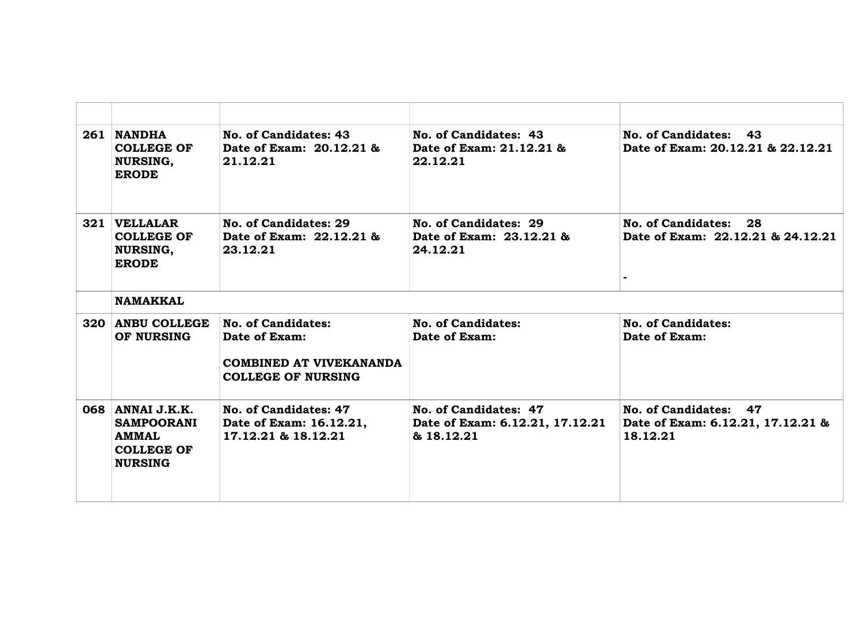| 261 NANDHA<br><b>COLLEGE OF</b><br><b>NURSING,</b><br><b>ERODE</b>                           | No. of Candidates: 43<br>Date of Exam: 20.12.21 &<br>21.12.21                                      | No. of Candidates: 43<br>Date of Exam: 21.12.21 &<br>22.12.21          | No. of Candidates: 43<br>Date of Exam: 20.12.21 & 22.12.21             |  |
|----------------------------------------------------------------------------------------------|----------------------------------------------------------------------------------------------------|------------------------------------------------------------------------|------------------------------------------------------------------------|--|
| 321 VELLALAR<br><b>COLLEGE OF</b><br><b>NURSING,</b><br><b>ERODE</b>                         | No. of Candidates: 29<br>Date of Exam: 22.12.21 &<br>23.12.21                                      | No. of Candidates: 29<br>Date of Exam: 23.12.21 &<br>24.12.21          | No. of Candidates:<br>28<br>Date of Exam: 22.12.21 & 24.12.21          |  |
| <b>NAMAKKAL</b>                                                                              |                                                                                                    |                                                                        |                                                                        |  |
| 320 ANBU COLLEGE<br>OF NURSING                                                               | No. of Candidates:<br>Date of Exam:<br><b>COMBINED AT VIVEKANANDA</b><br><b>COLLEGE OF NURSING</b> | No. of Candidates:<br>Date of Exam:                                    | No. of Candidates:<br>Date of Exam:                                    |  |
| 068 ANNAI J.K.K.<br><b>SAMPOORANI</b><br><b>AMMAL</b><br><b>COLLEGE OF</b><br><b>NURSING</b> | No. of Candidates: 47<br>Date of Exam: 16.12.21,<br>17.12.21 & 18.12.21                            | No. of Candidates: 47<br>Date of Exam: 6.12.21, 17.12.21<br>& 18.12.21 | No. of Candidates: 47<br>Date of Exam: 6.12.21, 17.12.21 &<br>18.12.21 |  |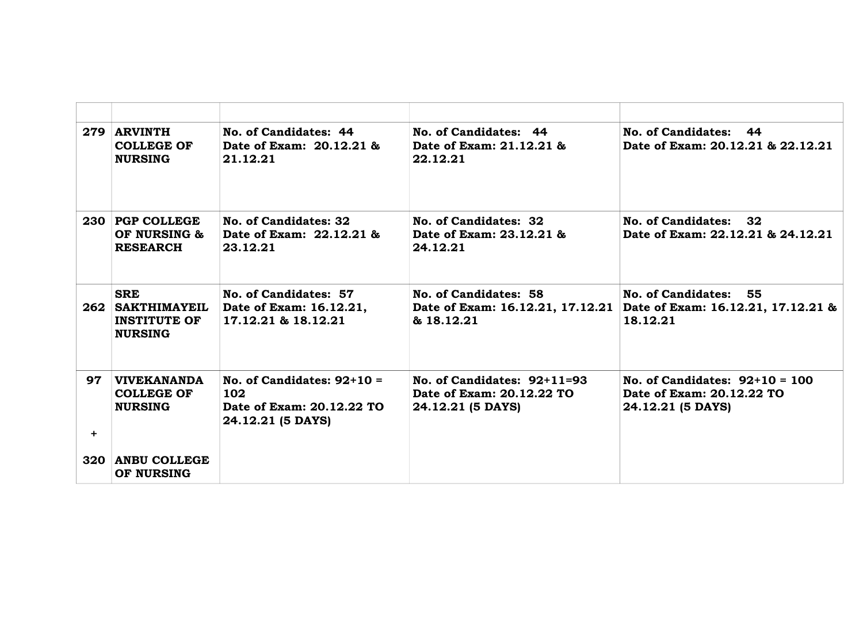|           | 279 ARVINTH<br><b>COLLEGE OF</b><br><b>NURSING</b>                      | No. of Candidates: 44<br>Date of Exam: 20.12.21 &<br>21.12.21                        | No. of Candidates: 44<br>Date of Exam: 21.12.21 &<br>22.12.21                   | No. of Candidates: 44<br>Date of Exam: 20.12.21 & 22.12.21                         |
|-----------|-------------------------------------------------------------------------|--------------------------------------------------------------------------------------|---------------------------------------------------------------------------------|------------------------------------------------------------------------------------|
|           | 230 PGP COLLEGE<br>OF NURSING &<br><b>RESEARCH</b>                      | No. of Candidates: 32<br>Date of Exam: 22.12.21 &<br>23.12.21                        | No. of Candidates: 32<br>Date of Exam: 23.12.21 &<br>24.12.21                   | No. of Candidates: 32<br>Date of Exam: 22.12.21 & 24.12.21                         |
|           | <b>SRE</b><br>262 SAKTHIMAYEIL<br><b>INSTITUTE OF</b><br><b>NURSING</b> | No. of Candidates: 57<br>Date of Exam: 16.12.21,<br>17.12.21 & 18.12.21              | No. of Candidates: 58<br>Date of Exam: 16.12.21, 17.12.21<br>& 18.12.21         | No. of Candidates: 55<br>Date of Exam: 16.12.21, 17.12.21 &<br>18.12.21            |
| 97<br>$+$ | <b>VIVEKANANDA</b><br><b>COLLEGE OF</b><br><b>NURSING</b>               | No. of Candidates: $92+10=$<br>102<br>Date of Exam: 20.12.22 TO<br>24.12.21 (5 DAYS) | No. of Candidates: $92+11=93$<br>Date of Exam: 20.12.22 TO<br>24.12.21 (5 DAYS) | No. of Candidates: $92+10 = 100$<br>Date of Exam: 20.12.22 TO<br>24.12.21 (5 DAYS) |
|           | 320 ANBU COLLEGE<br>OF NURSING                                          |                                                                                      |                                                                                 |                                                                                    |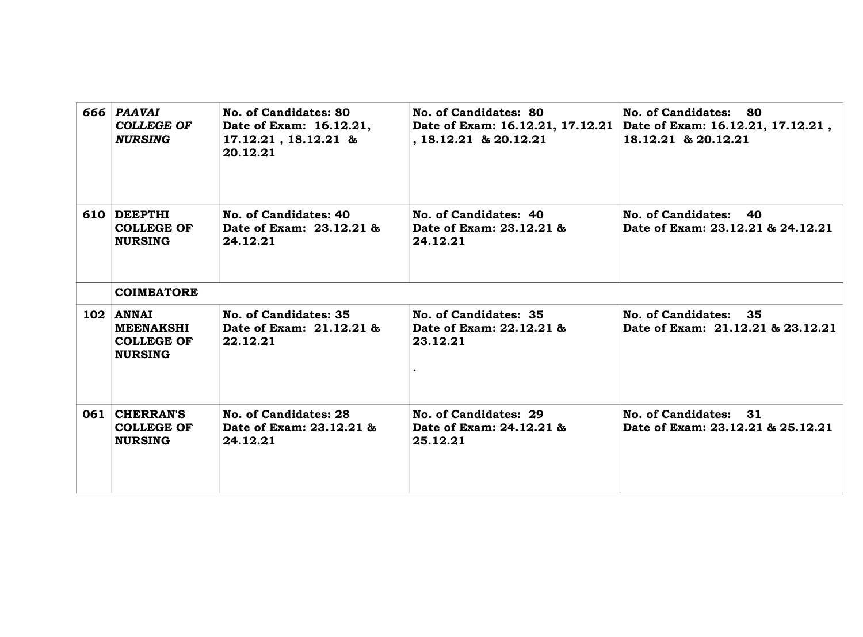| 666 PAAVAI<br><b>COLLEGE OF</b><br><b>NURSING</b>                    | No. of Candidates: 80<br>Date of Exam: 16.12.21,<br>17.12.21, 18.12.21 &<br>20.12.21 | No. of Candidates: 80<br>Date of Exam: 16.12.21, 17.12.21<br>$, 18.12.21$ & 20.12.21 | No. of Candidates: 80<br>Date of Exam: 16.12.21, 17.12.21,<br>18.12.21 & 20.12.21 |
|----------------------------------------------------------------------|--------------------------------------------------------------------------------------|--------------------------------------------------------------------------------------|-----------------------------------------------------------------------------------|
| 610 DEEPTHI<br><b>COLLEGE OF</b><br><b>NURSING</b>                   | No. of Candidates: 40<br>Date of Exam: 23.12.21 &<br>24.12.21                        | No. of Candidates: 40<br>Date of Exam: 23.12.21 &<br>24.12.21                        | No. of Candidates: 40<br>Date of Exam: 23.12.21 & 24.12.21                        |
| <b>COIMBATORE</b>                                                    |                                                                                      |                                                                                      |                                                                                   |
| 102 ANNAI<br><b>MEENAKSHI</b><br><b>COLLEGE OF</b><br><b>NURSING</b> | No. of Candidates: 35<br>Date of Exam: 21.12.21 &<br>22.12.21                        | No. of Candidates: 35<br>Date of Exam: 22.12.21 &<br>23.12.21                        | No. of Candidates: 35<br>Date of Exam: 21.12.21 & 23.12.21                        |
| 061 CHERRAN'S<br><b>COLLEGE OF</b><br><b>NURSING</b>                 | No. of Candidates: 28<br>Date of Exam: 23.12.21 &<br>24.12.21                        | No. of Candidates: 29<br>Date of Exam: 24.12.21 &<br>25.12.21                        | No. of Candidates: 31<br>Date of Exam: 23.12.21 & 25.12.21                        |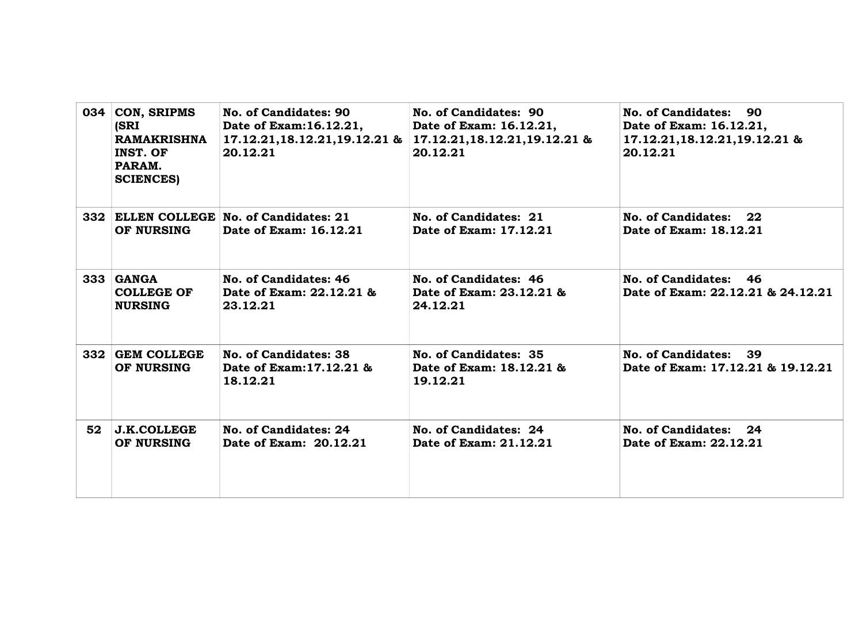| 034 | <b>CON, SRIPMS</b><br><b>(SRI</b><br><b>RAMAKRISHNA</b><br>INST. OF<br>PARAM.<br><b>SCIENCES</b> ) | No. of Candidates: 90<br>Date of Exam: 16.12.21,<br>17.12.21, 18.12.21, 19.12.21 &<br>20.12.21 | No. of Candidates: 90<br>Date of Exam: 16.12.21,<br>17.12.21, 18.12.21, 19.12.21 &<br>20.12.21 | No. of Candidates: 90<br>Date of Exam: 16.12.21,<br>17.12.21,18.12.21,19.12.21 &<br>20.12.21 |
|-----|----------------------------------------------------------------------------------------------------|------------------------------------------------------------------------------------------------|------------------------------------------------------------------------------------------------|----------------------------------------------------------------------------------------------|
|     | OF NURSING                                                                                         | 332 ELLEN COLLEGE No. of Candidates: 21<br>Date of Exam: 16.12.21                              | No. of Candidates: 21<br>Date of Exam: 17.12.21                                                | No. of Candidates: 22<br>Date of Exam: 18.12.21                                              |
|     | $333$ $GANGA$<br><b>COLLEGE OF</b><br><b>NURSING</b>                                               | No. of Candidates: 46<br>Date of Exam: 22.12.21 &<br>23.12.21                                  | No. of Candidates: 46<br>Date of Exam: 23.12.21 &<br>24.12.21                                  | No. of Candidates: 46<br>Date of Exam: 22.12.21 & 24.12.21                                   |
|     | 332 GEM COLLEGE<br>OF NURSING                                                                      | No. of Candidates: 38<br>Date of Exam: 17.12.21 &<br>18.12.21                                  | No. of Candidates: 35<br>Date of Exam: 18.12.21 &<br>19.12.21                                  | No. of Candidates: 39<br>Date of Exam: 17.12.21 & 19.12.21                                   |
| 52  | <b>J.K.COLLEGE</b><br>OF NURSING                                                                   | No. of Candidates: 24<br>Date of Exam: 20.12.21                                                | No. of Candidates: 24<br>Date of Exam: 21.12.21                                                | No. of Candidates: 24<br>Date of Exam: 22.12.21                                              |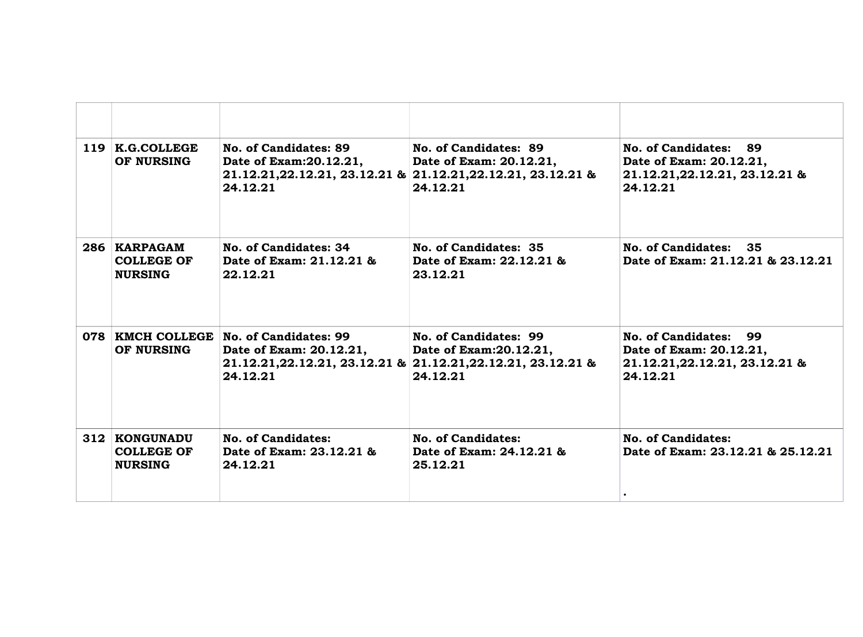| 119 K.G.COLLEGE<br>OF NURSING                        | No. of Candidates: 89<br>Date of Exam: 20.12.21,<br>24.12.21                      | No. of Candidates: 89<br>Date of Exam: 20.12.21,<br>21.12.21, 22.12.21, 23.12.21 & 21.12.21, 22.12.21, 23.12.21 &<br>24.12.21 | No. of Candidates: 89<br>Date of Exam: 20.12.21,<br>21.12.21, 22.12.21, 23.12.21 &<br>24.12.21 |
|------------------------------------------------------|-----------------------------------------------------------------------------------|-------------------------------------------------------------------------------------------------------------------------------|------------------------------------------------------------------------------------------------|
| 286 KARPAGAM<br><b>COLLEGE OF</b><br><b>NURSING</b>  | No. of Candidates: 34<br>Date of Exam: 21.12.21 &<br>22.12.21                     | No. of Candidates: 35<br>Date of Exam: 22.12.21 &<br>23.12.21                                                                 | No. of Candidates: 35<br>Date of Exam: 21.12.21 & 23.12.21                                     |
| OF NURSING                                           | 078   KMCH COLLEGE   No. of Candidates: 99<br>Date of Exam: 20.12.21,<br>24.12.21 | No. of Candidates: 99<br>Date of Exam: 20.12.21,<br>21.12.21, 22.12.21, 23.12.21 & 21.12.21, 22.12.21, 23.12.21 &<br>24.12.21 | No. of Candidates: 99<br>Date of Exam: 20.12.21,<br>21.12.21, 22.12.21, 23.12.21 &<br>24.12.21 |
| 312 KONGUNADU<br><b>COLLEGE OF</b><br><b>NURSING</b> | No. of Candidates:<br>Date of Exam: 23.12.21 &<br>24.12.21                        | No. of Candidates:<br>Date of Exam: 24.12.21 &<br>25.12.21                                                                    | <b>No. of Candidates:</b><br>Date of Exam: 23.12.21 & 25.12.21                                 |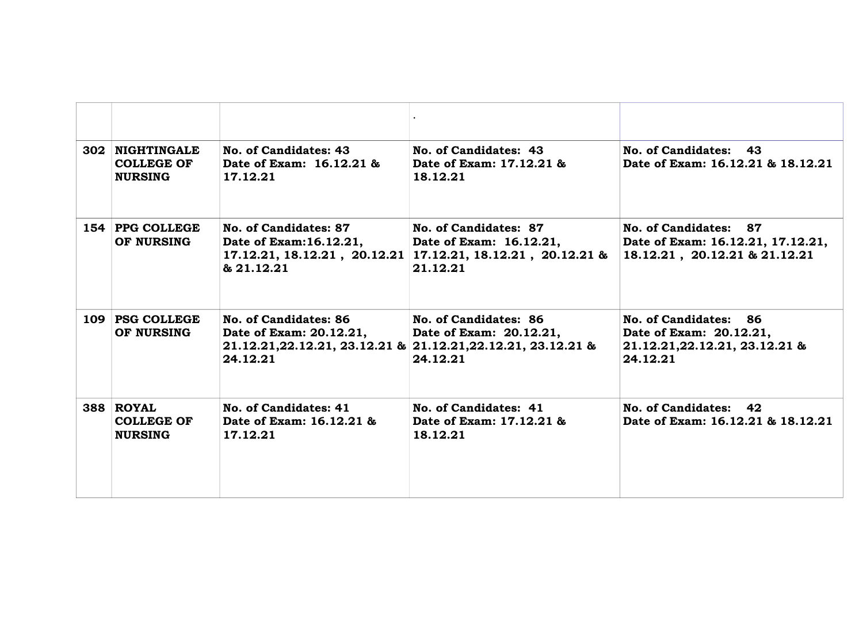| 302 | <b>NIGHTINGALE</b><br><b>COLLEGE OF</b><br><b>NURSING</b> | No. of Candidates: 43<br>Date of Exam: 16.12.21 &<br>17.12.21  | No. of Candidates: 43<br>Date of Exam: 17.12.21 &<br>18.12.21                                                                   | No. of Candidates:<br>43<br>Date of Exam: 16.12.21 & 18.12.21                                  |
|-----|-----------------------------------------------------------|----------------------------------------------------------------|---------------------------------------------------------------------------------------------------------------------------------|------------------------------------------------------------------------------------------------|
|     | 154 PPG COLLEGE<br>OF NURSING                             | No. of Candidates: 87<br>Date of Exam: 16.12.21,<br>& 21.12.21 | No. of Candidates: 87<br>Date of Exam: 16.12.21,<br>$17.12.21, 18.12.21, 20.12.21$ $17.12.21, 18.12.21, 20.12.21$ &<br>21.12.21 | No. of Candidates: 87<br>Date of Exam: 16.12.21, 17.12.21,<br>18.12.21, 20.12.21 & 21.12.21    |
|     | 109 PSG COLLEGE<br>OF NURSING                             | No. of Candidates: 86<br>Date of Exam: 20.12.21,<br>24.12.21   | No. of Candidates: 86<br>Date of Exam: 20.12.21,<br>21.12.21, 22.12.21, 23.12.21 & 21.12.21, 22.12.21, 23.12.21 &<br>24.12.21   | No. of Candidates: 86<br>Date of Exam: 20.12.21,<br>21.12.21, 22.12.21, 23.12.21 &<br>24.12.21 |
|     | 388 ROYAL<br><b>COLLEGE OF</b><br><b>NURSING</b>          | No. of Candidates: 41<br>Date of Exam: 16.12.21 &<br>17.12.21  | No. of Candidates: 41<br>Date of Exam: 17.12.21 &<br>18.12.21                                                                   | No. of Candidates:<br>42<br>Date of Exam: 16.12.21 & 18.12.21                                  |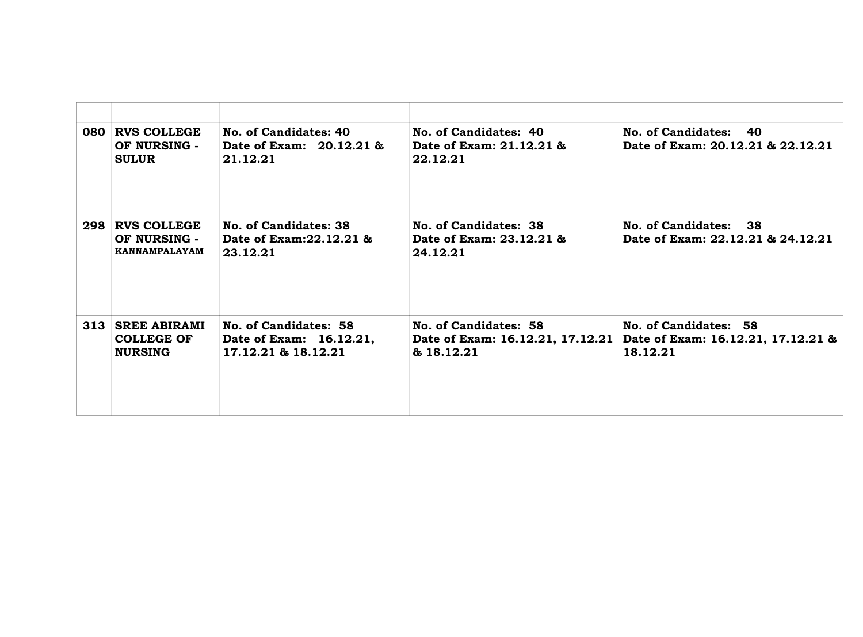| 080 RVS COLLEGE<br>OF NURSING -<br><b>SULUR</b>         | No. of Candidates: 40<br>Date of Exam: 20.12.21 &<br>21.12.21           | No. of Candidates: 40<br>Date of Exam: 21.12.21 &<br>22.12.21           | No. of Candidates: 40<br>Date of Exam: 20.12.21 & 22.12.21              |
|---------------------------------------------------------|-------------------------------------------------------------------------|-------------------------------------------------------------------------|-------------------------------------------------------------------------|
| 298 RVS COLLEGE<br>OF NURSING -<br>KANNAMPALAYAM        | No. of Candidates: 38<br>Date of Exam: 22.12.21 &<br>23.12.21           | No. of Candidates: 38<br>Date of Exam: 23.12.21 &<br>24.12.21           | No. of Candidates: 38<br>Date of Exam: 22.12.21 & 24.12.21              |
| 313 SREE ABIRAMI<br><b>COLLEGE OF</b><br><b>NURSING</b> | No. of Candidates: 58<br>Date of Exam: 16.12.21,<br>17.12.21 & 18.12.21 | No. of Candidates: 58<br>Date of Exam: 16.12.21, 17.12.21<br>& 18.12.21 | No. of Candidates: 58<br>Date of Exam: 16.12.21, 17.12.21 &<br>18.12.21 |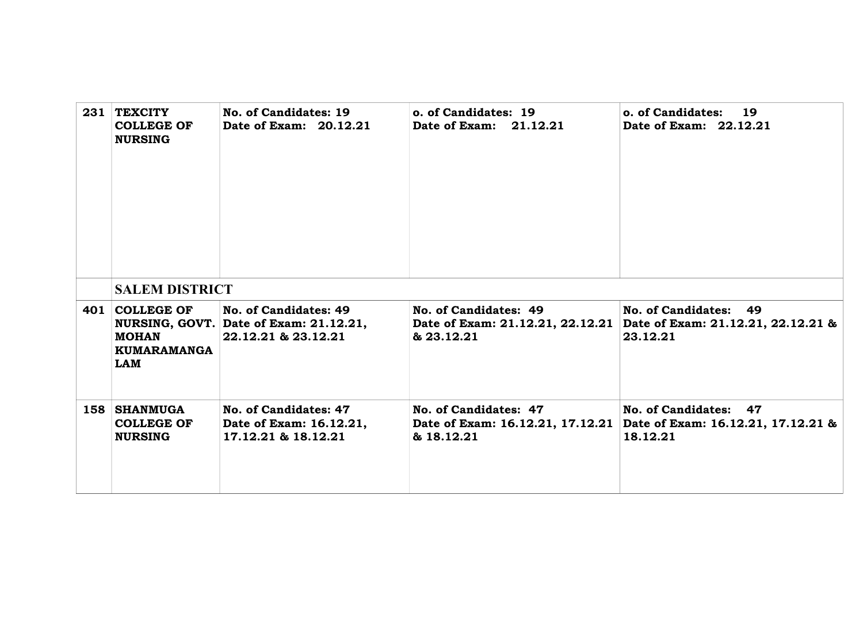| 231 TEXCITY<br><b>COLLEGE OF</b><br><b>NURSING</b>   | No. of Candidates: 19<br>Date of Exam: 20.12.21                                        | o. of Candidates: 19<br>Date of Exam: 21.12.21                          | o. of Candidates:<br>19<br>Date of Exam: 22.12.21                       |
|------------------------------------------------------|----------------------------------------------------------------------------------------|-------------------------------------------------------------------------|-------------------------------------------------------------------------|
| <b>SALEM DISTRICT</b>                                |                                                                                        |                                                                         |                                                                         |
| 401 COLLEGE OF<br><b>MOHAN</b><br>KUMARAMANGA<br>LAM | No. of Candidates: 49<br>NURSING, GOVT. Date of Exam: 21.12.21,<br>22.12.21 & 23.12.21 | No. of Candidates: 49<br>Date of Exam: 21.12.21, 22.12.21<br>& 23.12.21 | No. of Candidates: 49<br>Date of Exam: 21.12.21, 22.12.21 &<br>23.12.21 |
| 158 SHANMUGA<br><b>COLLEGE OF</b><br><b>NURSING</b>  | No. of Candidates: 47<br>Date of Exam: 16.12.21,<br>17.12.21 & 18.12.21                | No. of Candidates: 47<br>Date of Exam: 16.12.21, 17.12.21<br>& 18.12.21 | No. of Candidates: 47<br>Date of Exam: 16.12.21, 17.12.21 &<br>18.12.21 |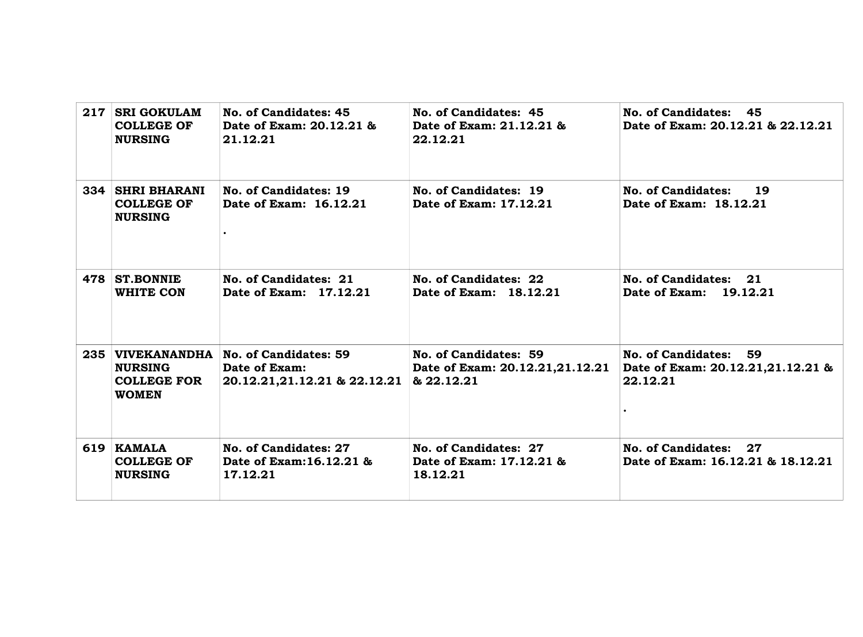|     | 217 SRI GOKULAM<br><b>COLLEGE OF</b><br><b>NURSING</b>         | No. of Candidates: 45<br>Date of Exam: 20.12.21 &<br>21.12.21                           | No. of Candidates: 45<br>Date of Exam: 21.12.21 &<br>22.12.21          | No. of Candidates: 45<br>Date of Exam: 20.12.21 & 22.12.21             |
|-----|----------------------------------------------------------------|-----------------------------------------------------------------------------------------|------------------------------------------------------------------------|------------------------------------------------------------------------|
|     | <b>334 SHRI BHARANI</b><br><b>COLLEGE OF</b><br><b>NURSING</b> | No. of Candidates: 19<br>Date of Exam: 16.12.21                                         | No. of Candidates: 19<br>Date of Exam: 17.12.21                        | No. of Candidates:<br>19<br>Date of Exam: 18.12.21                     |
| 478 | <b>ST.BONNIE</b><br>WHITE CON                                  | No. of Candidates: 21<br>Date of Exam: 17.12.21                                         | No. of Candidates: 22<br>Date of Exam: 18.12.21                        | No. of Candidates: 21<br>Date of Exam: 19.12.21                        |
|     | <b>NURSING</b><br><b>COLLEGE FOR</b><br><b>WOMEN</b>           | 235 VIVEKANANDHA No. of Candidates: 59<br>Date of Exam:<br>20.12.21,21.12.21 & 22.12.21 | No. of Candidates: 59<br>Date of Exam: 20.12.21,21.12.21<br>& 22.12.21 | No. of Candidates: 59<br>Date of Exam: 20.12.21,21.12.21 &<br>22.12.21 |
|     | 619 KAMALA<br><b>COLLEGE OF</b><br><b>NURSING</b>              | No. of Candidates: 27<br>Date of Exam: 16.12.21 &<br>17.12.21                           | No. of Candidates: 27<br>Date of Exam: 17.12.21 &<br>18.12.21          | No. of Candidates: 27<br>Date of Exam: 16.12.21 & 18.12.21             |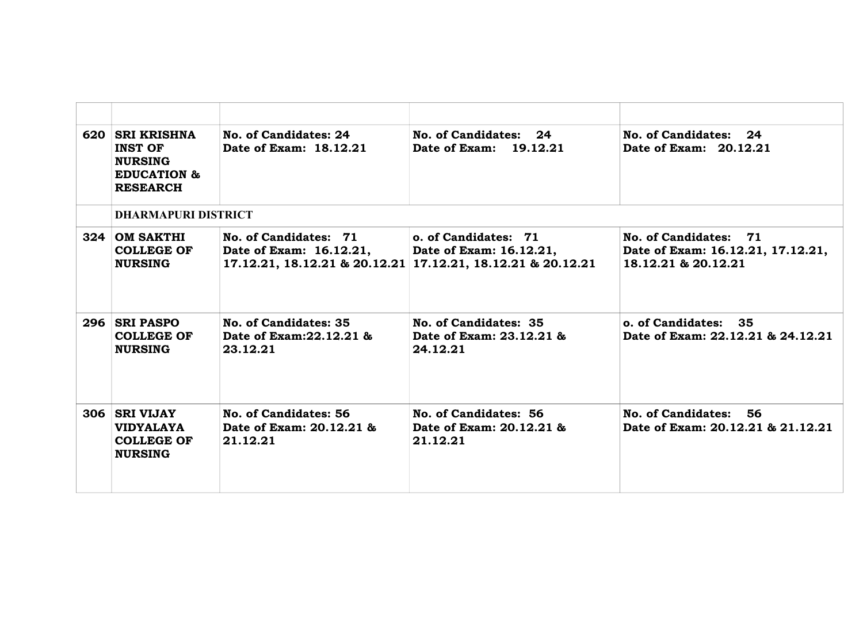|     | 620 SRI KRISHNA<br><b>INST OF</b><br><b>NURSING</b><br><b>EDUCATION &amp;</b><br><b>RESEARCH</b> | No. of Candidates: 24<br>Date of Exam: 18.12.21               | No. of Candidates: 24<br>Date of Exam: 19.12.21                                                                | No. of Candidates: 24<br>Date of Exam: 20.12.21                                   |
|-----|--------------------------------------------------------------------------------------------------|---------------------------------------------------------------|----------------------------------------------------------------------------------------------------------------|-----------------------------------------------------------------------------------|
|     | <b>DHARMAPURI DISTRICT</b>                                                                       |                                                               |                                                                                                                |                                                                                   |
| 324 | <b>OM SAKTHI</b><br><b>COLLEGE OF</b><br><b>NURSING</b>                                          | No. of Candidates: 71<br>Date of Exam: 16.12.21,              | o. of Candidates: 71<br>Date of Exam: 16.12.21,<br>17.12.21, 18.12.21 & 20.12.21 17.12.21, 18.12.21 & 20.12.21 | No. of Candidates: 71<br>Date of Exam: 16.12.21, 17.12.21,<br>18.12.21 & 20.12.21 |
|     | 296 SRI PASPO<br><b>COLLEGE OF</b><br><b>NURSING</b>                                             | No. of Candidates: 35<br>Date of Exam: 22.12.21 &<br>23.12.21 | No. of Candidates: 35<br>Date of Exam: 23.12.21 &<br>24.12.21                                                  | o. of Candidates: 35<br>Date of Exam: 22.12.21 & 24.12.21                         |
| 306 | <b>SRI VIJAY</b><br><b>VIDYALAYA</b><br><b>COLLEGE OF</b><br><b>NURSING</b>                      | No. of Candidates: 56<br>Date of Exam: 20.12.21 &<br>21.12.21 | No. of Candidates: 56<br>Date of Exam: 20.12.21 &<br>21.12.21                                                  | No. of Candidates: 56<br>Date of Exam: 20.12.21 & 21.12.21                        |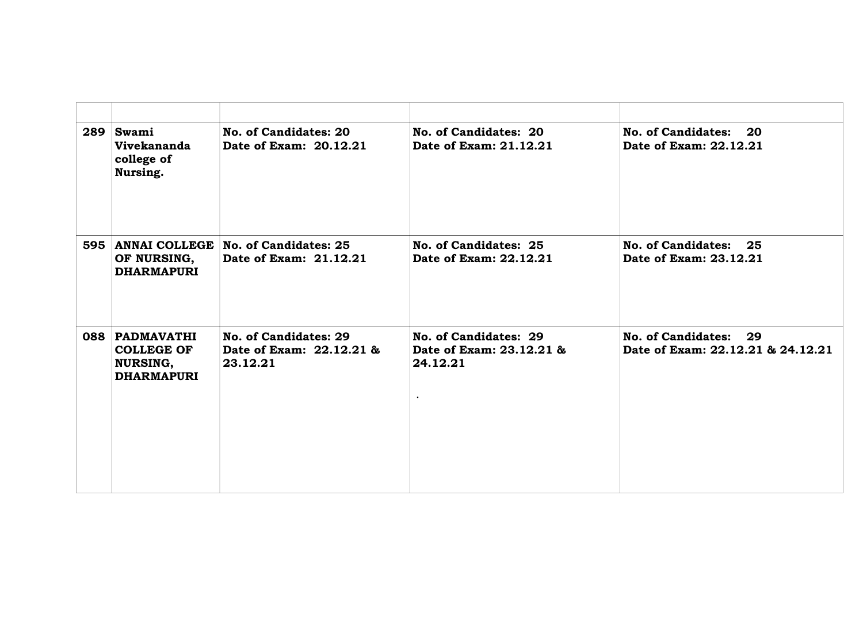| 289 | Swami<br><b>Vivekananda</b><br>college of<br>Nursing.                       | No. of Candidates: 20<br>Date of Exam: 20.12.21                   | No. of Candidates: 20<br>Date of Exam: 21.12.21               | No. of Candidates:<br><b>20</b><br>Date of Exam: 22.12.21            |
|-----|-----------------------------------------------------------------------------|-------------------------------------------------------------------|---------------------------------------------------------------|----------------------------------------------------------------------|
|     | OF NURSING,<br><b>DHARMAPURI</b>                                            | 595 ANNAI COLLEGE No. of Candidates: 25<br>Date of Exam: 21.12.21 | No. of Candidates: 25<br>Date of Exam: 22.12.21               | <b>No. of Candidates:</b><br>25<br>Date of Exam: 23.12.21            |
|     | 088 PADMAVATHI<br><b>COLLEGE OF</b><br><b>NURSING,</b><br><b>DHARMAPURI</b> | No. of Candidates: 29<br>Date of Exam: 22.12.21 &<br>23.12.21     | No. of Candidates: 29<br>Date of Exam: 23.12.21 &<br>24.12.21 | <b>No. of Candidates:</b><br>29<br>Date of Exam: 22.12.21 & 24.12.21 |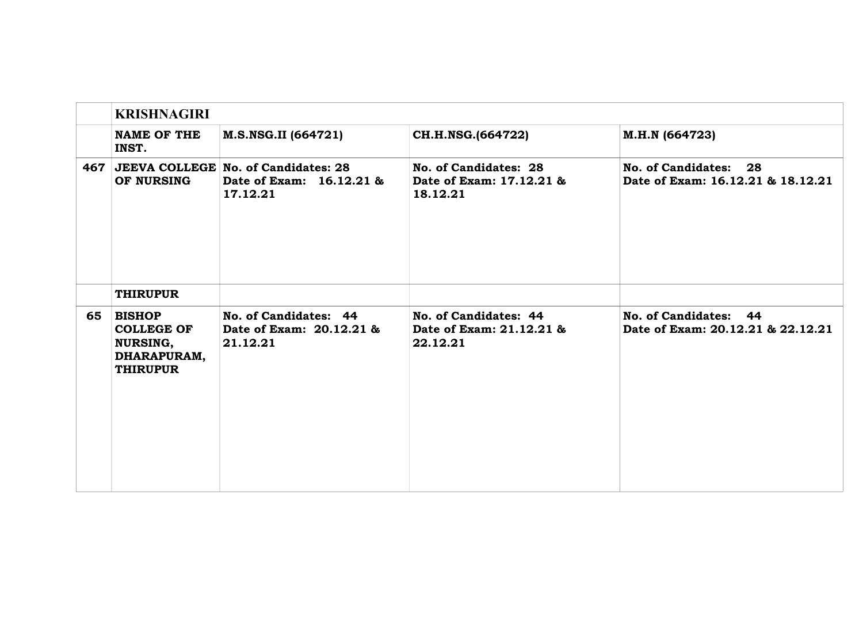|     | <b>KRISHNAGIRI</b>                                                               |                                                                             |                                                               |                                                            |  |
|-----|----------------------------------------------------------------------------------|-----------------------------------------------------------------------------|---------------------------------------------------------------|------------------------------------------------------------|--|
|     | <b>NAME OF THE</b><br>INST.                                                      | M.S.NSG.II (664721)                                                         | CH.H.NSG.(664722)                                             | M.H.N (664723)                                             |  |
| 467 | OF NURSING                                                                       | JEEVA COLLEGE No. of Candidates: 28<br>Date of Exam: 16.12.21 &<br>17.12.21 | No. of Candidates: 28<br>Date of Exam: 17.12.21 &<br>18.12.21 | No. of Candidates: 28<br>Date of Exam: 16.12.21 & 18.12.21 |  |
|     | <b>THIRUPUR</b>                                                                  |                                                                             |                                                               |                                                            |  |
| 65  | <b>BISHOP</b><br><b>COLLEGE OF</b><br>NURSING,<br>DHARAPURAM,<br><b>THIRUPUR</b> | No. of Candidates: 44<br>Date of Exam: 20.12.21 &<br>21.12.21               | No. of Candidates: 44<br>Date of Exam: 21.12.21 &<br>22.12.21 | No. of Candidates: 44<br>Date of Exam: 20.12.21 & 22.12.21 |  |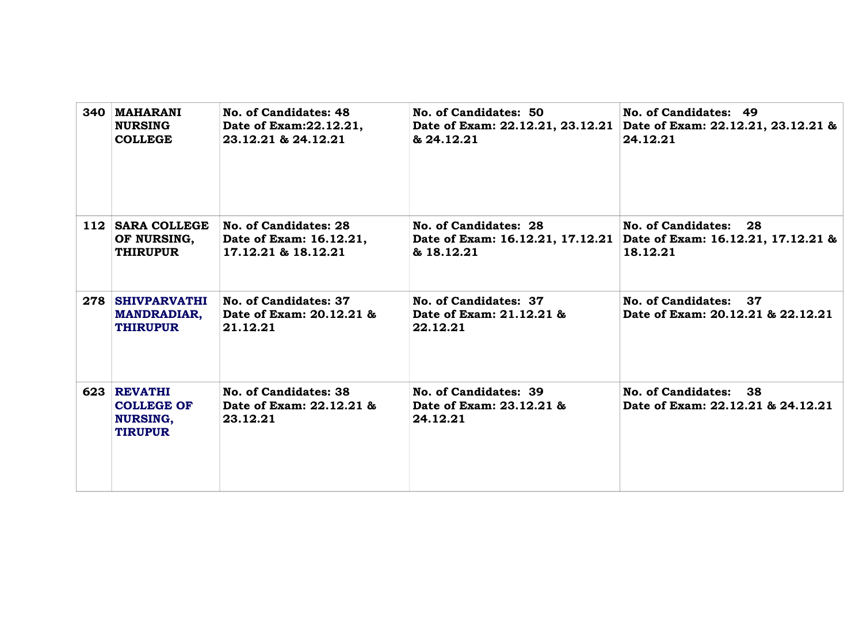| 340 MAHARANI<br><b>NURSING</b><br><b>COLLEGE</b>                      | No. of Candidates: 48<br>Date of Exam: 22.12.21,<br>23.12.21 & 24.12.21 | No. of Candidates: 50<br>& 24.12.21                                     | No. of Candidates: 49<br>Date of Exam: 22.12.21, 23.12.21 Date of Exam: 22.12.21, 23.12.21 &<br>24.12.21 |
|-----------------------------------------------------------------------|-------------------------------------------------------------------------|-------------------------------------------------------------------------|----------------------------------------------------------------------------------------------------------|
| 112 SARA COLLEGE<br>OF NURSING,<br><b>THIRUPUR</b>                    | No. of Candidates: 28<br>Date of Exam: 16.12.21,<br>17.12.21 & 18.12.21 | No. of Candidates: 28<br>Date of Exam: 16.12.21, 17.12.21<br>& 18.12.21 | No. of Candidates: 28<br>Date of Exam: 16.12.21, 17.12.21 &<br>18.12.21                                  |
| 278 SHIVPARVATHI<br><b>MANDRADIAR,</b><br><b>THIRUPUR</b>             | No. of Candidates: 37<br>Date of Exam: 20.12.21 &<br>21.12.21           | No. of Candidates: 37<br>Date of Exam: 21.12.21 &<br>22.12.21           | No. of Candidates: 37<br>Date of Exam: 20.12.21 & 22.12.21                                               |
| 623 REVATHI<br><b>COLLEGE OF</b><br><b>NURSING,</b><br><b>TIRUPUR</b> | No. of Candidates: 38<br>Date of Exam: 22.12.21 &<br>23.12.21           | No. of Candidates: 39<br>Date of Exam: 23.12.21 &<br>24.12.21           | No. of Candidates: 38<br>Date of Exam: 22.12.21 & 24.12.21                                               |